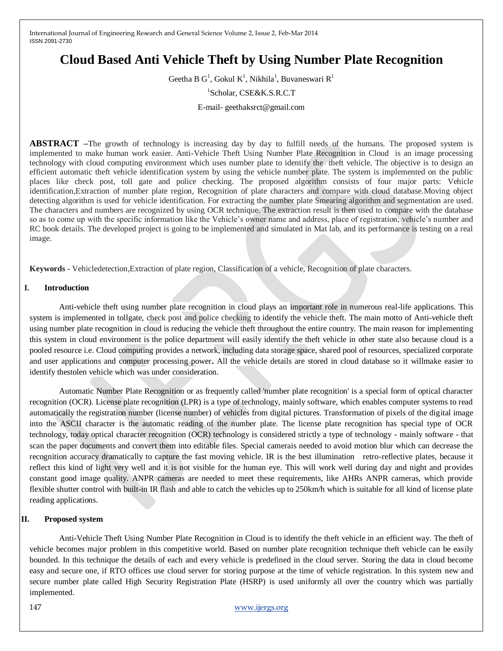# **Cloud Based Anti Vehicle Theft by Using Number Plate Recognition**

Geetha B G<sup>1</sup>, Gokul K<sup>1</sup>, Nikhila<sup>1</sup>, Buvaneswari R<sup>1</sup>

1 Scholar, CSE&K.S.R.C.T

E-mail- geethaksrct@gmail.com

**ABSTRACT –**The growth of technology is increasing day by day to fulfill needs of the humans. The proposed system is implemented to make human work easier. Anti-Vehicle Theft Using Number Plate Recognition in Cloud is an image processing technology with cloud computing environment which uses number plate to identify the theft vehicle. The objective is to design an efficient automatic theft vehicle identification system by using the vehicle number plate. The system is implemented on the public places like check post, toll gate and police checking. The proposed algorithm consists of four major parts: Vehicle identification,Extraction of number plate region, Recognition of plate characters and compare with cloud database.Moving object detecting algorithm is used for vehicle identification. For extracting the number plate Smearing algorithm and segmentation are used. The characters and numbers are recognized by using OCR technique. The extraction result is then used to compare with the database so as to come up with the specific information like the Vehicle"s owner name and address, place of registration, vehicle"s number and RC book details. The developed project is going to be implemented and simulated in Mat lab, and its performance is testing on a real image.

**Keywords -** Vehicledetection,Extraction of plate region, Classification of a vehicle, Recognition of plate characters.

## **I. Introduction**

Anti-vehicle theft using number plate recognition in cloud plays an important role in numerous real-life applications. This system is implemented in tollgate, check post and police checking to identify the vehicle theft. The main motto of Anti-vehicle theft using number plate recognition in cloud is reducing the vehicle theft throughout the entire country. The main reason for implementing this system in cloud environment is the police department will easily identify the theft vehicle in other state also because cloud is a pooled resource i.e. Cloud computing provides a network, including data storage space, shared pool of resources, specialized corporate and user applications and computer processing power**.** All the vehicle details are stored in cloud database so it willmake easier to identify thestolen vehicle which was under consideration.

Automatic Number Plate Recognition or as frequently called 'number plate recognition' is a special form of optical character recognition (OCR). License plate recognition (LPR) is a type of technology, mainly software, which enables computer systems to read automatically the registration number (license number) of vehicles from digital pictures. Transformation of pixels of the digital image into the ASCII character is the automatic reading of the number plate. The license plate recognition has special type of OCR technology, today optical character recognition (OCR) technology is considered strictly a type of technology - mainly software - that scan the paper documents and convert them into editable files. Special camerais needed to avoid motion blur which can decrease the recognition accuracy dramatically to capture the fast moving vehicle. IR is the best illumination retro-reflective plates, because it reflect this kind of light very well and it is not visible for the human eye. This will work well during day and night and provides constant good image quality. ANPR cameras are needed to meet these requirements, like AHRs ANPR cameras, which provide flexible shutter control with built-in IR flash and able to catch the vehicles up to 250km/h which is suitable for all kind of license plate reading applications.

### **II. Proposed system**

Anti-Vehicle Theft Using Number Plate Recognition in Cloud is to identify the theft vehicle in an efficient way. The theft of vehicle becomes major problem in this competitive world. Based on number plate recognition technique theft vehicle can be easily bounded. In this technique the details of each and every vehicle is predefined in the cloud server. Storing the data in cloud become easy and secure one, if RTO offices use cloud server for storing purpose at the time of vehicle registration. In this system new and secure number plate called High Security Registration Plate (HSRP) is used uniformly all over the country which was partially implemented.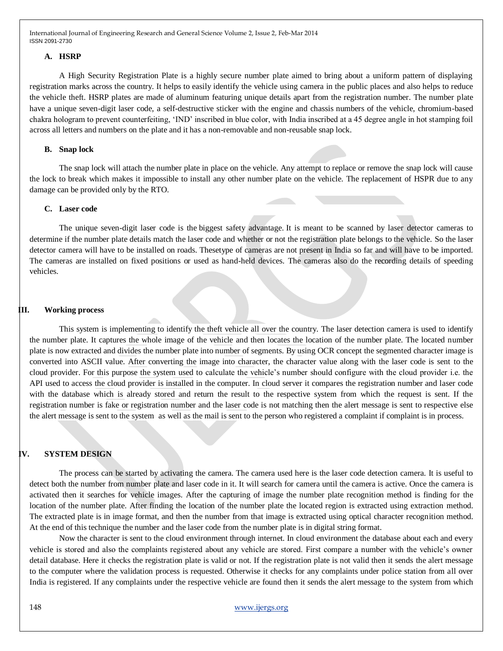### **A. HSRP**

A High Security Registration Plate is a highly secure number plate aimed to bring about a uniform pattern of displaying registration marks across the country. It helps to easily identify the vehicle using camera in the public places and also helps to reduce the vehicle theft. HSRP plates are made of aluminum featuring unique details apart from the registration number. The number plate have a unique seven-digit laser code, a self-destructive sticker with the engine and chassis numbers of the vehicle, chromium-based chakra hologram to prevent counterfeiting, "IND" inscribed in blue color, with India inscribed at a 45 degree angle in hot stamping foil across all letters and numbers on the plate and it has a non-removable and non-reusable snap lock.

### **B. Snap lock**

The snap lock will attach the number plate in place on the vehicle. Any attempt to replace or remove the snap lock will cause the lock to break which makes it impossible to install any other number plate on the vehicle. The replacement of HSPR due to any damage can be provided only by the RTO.

## **C. Laser code**

The unique seven-digit laser code is the biggest safety advantage. It is meant to be scanned by laser detector cameras to determine if the number plate details match the laser code and whether or not the registration plate belongs to the vehicle. So the laser detector camera will have to be installed on roads. Thesetype of cameras are not present in India so far and will have to be imported. The cameras are installed on fixed positions or used as hand-held devices. The cameras also do the recording details of speeding vehicles.

#### **III. Working process**

This system is implementing to identify the theft vehicle all over the country. The laser detection camera is used to identify the number plate. It captures the whole image of the vehicle and then locates the location of the number plate. The located number plate is now extracted and divides the number plate into number of segments. By using OCR concept the segmented character image is converted into ASCII value. After converting the image into character, the character value along with the laser code is sent to the cloud provider. For this purpose the system used to calculate the vehicle"s number should configure with the cloud provider i.e. the API used to access the cloud provider is installed in the computer. In cloud server it compares the registration number and laser code with the database which is already stored and return the result to the respective system from which the request is sent. If the registration number is fake or registration number and the laser code is not matching then the alert message is sent to respective else the alert message is sent to the system as well as the mail is sent to the person who registered a complaint if complaint is in process.

### **IV. SYSTEM DESIGN**

The process can be started by activating the camera. The camera used here is the laser code detection camera. It is useful to detect both the number from number plate and laser code in it. It will search for camera until the camera is active. Once the camera is activated then it searches for vehicle images. After the capturing of image the number plate recognition method is finding for the location of the number plate. After finding the location of the number plate the located region is extracted using extraction method. The extracted plate is in image format, and then the number from that image is extracted using optical character recognition method. At the end of this technique the number and the laser code from the number plate is in digital string format.

Now the character is sent to the cloud environment through internet. In cloud environment the database about each and every vehicle is stored and also the complaints registered about any vehicle are stored. First compare a number with the vehicle"s owner detail database. Here it checks the registration plate is valid or not. If the registration plate is not valid then it sends the alert message to the computer where the validation process is requested. Otherwise it checks for any complaints under police station from all over India is registered. If any complaints under the respective vehicle are found then it sends the alert message to the system from which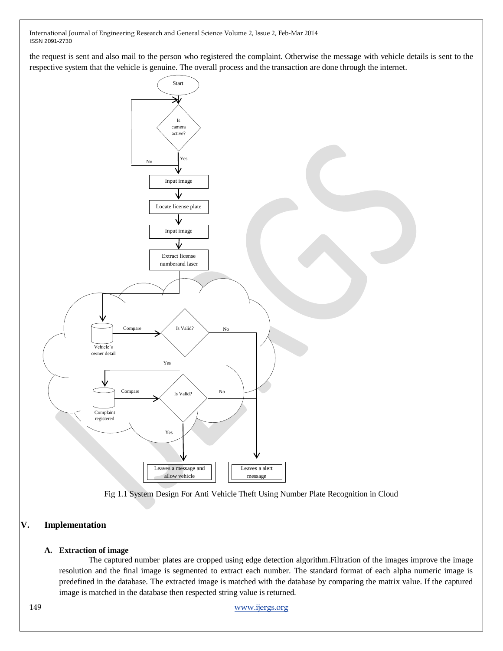the request is sent and also mail to the person who registered the complaint. Otherwise the message with vehicle details is sent to the respective system that the vehicle is genuine. The overall process and the transaction are done through the internet.





# **V. Implementation**

### **A. Extraction of image**

The captured number plates are cropped using edge detection algorithm.Filtration of the images improve the image resolution and the final image is segmented to extract each number. The standard format of each alpha numeric image is predefined in the database. The extracted image is matched with the database by comparing the matrix value. If the captured image is matched in the database then respected string value is returned.

149 [www.ijergs.org](http://www.ijergs.org/)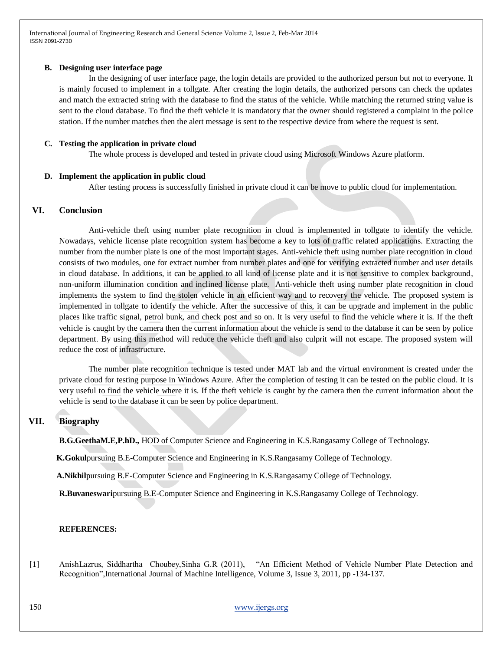## **B. Designing user interface page**

In the designing of user interface page, the login details are provided to the authorized person but not to everyone. It is mainly focused to implement in a tollgate. After creating the login details, the authorized persons can check the updates and match the extracted string with the database to find the status of the vehicle. While matching the returned string value is sent to the cloud database. To find the theft vehicle it is mandatory that the owner should registered a complaint in the police station. If the number matches then the alert message is sent to the respective device from where the request is sent.

### **C. Testing the application in private cloud**

The whole process is developed and tested in private cloud using Microsoft Windows Azure platform.

### **D. Implement the application in public cloud**

After testing process is successfully finished in private cloud it can be move to public cloud for implementation.

# **VI. Conclusion**

Anti-vehicle theft using number plate recognition in cloud is implemented in tollgate to identify the vehicle. Nowadays, vehicle license plate recognition system has become a key to lots of traffic related applications. Extracting the number from the number plate is one of the most important stages. Anti-vehicle theft using number plate recognition in cloud consists of two modules, one for extract number from number plates and one for verifying extracted number and user details in cloud database. In additions, it can be applied to all kind of license plate and it is not sensitive to complex background, non-uniform illumination condition and inclined license plate. Anti-vehicle theft using number plate recognition in cloud implements the system to find the stolen vehicle in an efficient way and to recovery the vehicle. The proposed system is implemented in tollgate to identify the vehicle. After the successive of this, it can be upgrade and implement in the public places like traffic signal, petrol bunk, and check post and so on. It is very useful to find the vehicle where it is. If the theft vehicle is caught by the camera then the current information about the vehicle is send to the database it can be seen by police department. By using this method will reduce the vehicle theft and also culprit will not escape. The proposed system will reduce the cost of infrastructure.

The number plate recognition technique is tested under MAT lab and the virtual environment is created under the private cloud for testing purpose in Windows Azure. After the completion of testing it can be tested on the public cloud. It is very useful to find the vehicle where it is. If the theft vehicle is caught by the camera then the current information about the vehicle is send to the database it can be seen by police department.

# **VII. Biography**

**B.G.GeethaM.E,P.hD.,** HOD of Computer Science and Engineering in K.S.Rangasamy College of Technology.

**K.Gokul**pursuing B.E-Computer Science and Engineering in K.S.Rangasamy College of Technology.

**A.Nikhil**pursuing B.E-Computer Science and Engineering in K.S.Rangasamy College of Technology.

**R.Buvaneswari**pursuing B.E-Computer Science and Engineering in K.S.Rangasamy College of Technology.

### **REFERENCES:**

[1] AnishLazrus, Siddhartha Choubey,Sinha G.R (2011), "An Efficient Method of Vehicle Number Plate Detection and Recognition",International Journal of Machine Intelligence, Volume 3, Issue 3, 2011, pp -134-137.